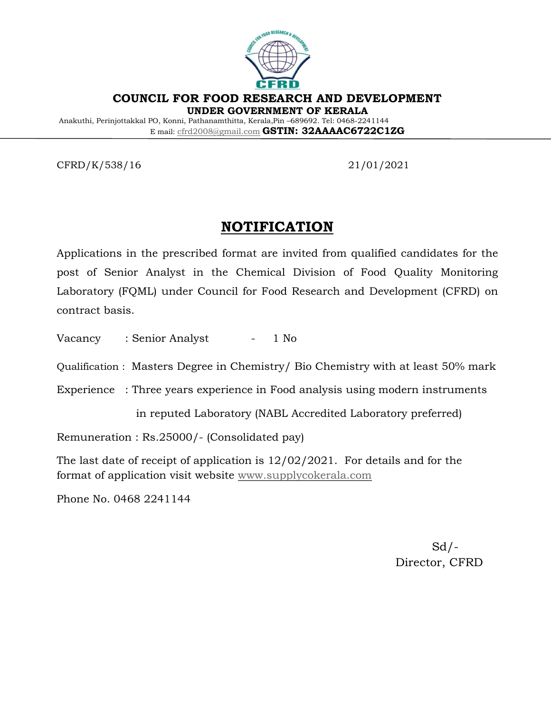

**COUNCIL FOR FOOD RESEARCH AND DEVELOPMENT UNDER GOVERNMENT OF KERALA**

Anakuthi, Perinjottakkal PO, Konni, Pathanamthitta, Kerala,Pin –689692. Tel: 0468-2241144 E mail: [cfrd2008@gmail.com](mailto:cfrd2008@gmail.com) **GSTIN: 32AAAAC6722C1ZG**

CFRD/K/538/16 21/01/2021

# **NOTIFICATION**

Applications in the prescribed format are invited from qualified candidates for the post of Senior Analyst in the Chemical Division of Food Quality Monitoring Laboratory (FQML) under Council for Food Research and Development (CFRD) on contract basis.

Vacancy : Senior Analyst - 1 No

Qualification : Masters Degree in Chemistry/ Bio Chemistry with at least 50% mark

Experience : Three years experience in Food analysis using modern instruments

in reputed Laboratory (NABL Accredited Laboratory preferred)

Remuneration : Rs.25000/- (Consolidated pay)

The last date of receipt of application is 12/02/2021. For details and for the format of application visit website [www.supplycokerala.com](http://www.supplycokerala.com/)

Phone No. 0468 2241144

 $Sd$  /-Director, CFRD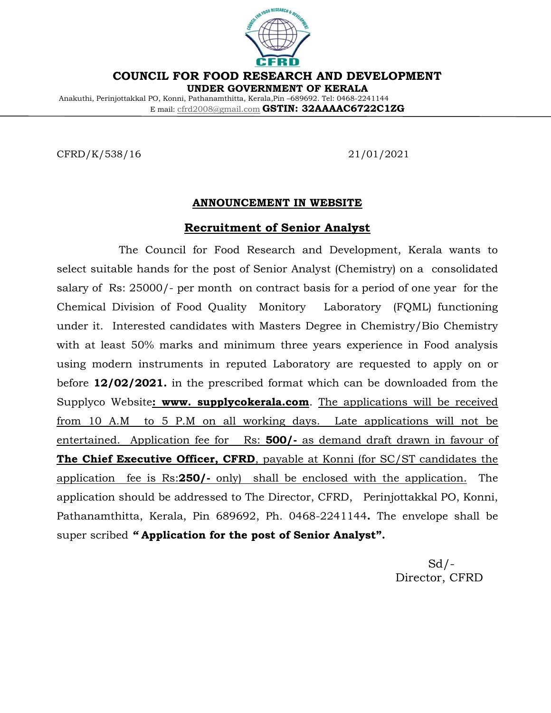

**COUNCIL FOR FOOD RESEARCH AND DEVELOPMENT**

**UNDER GOVERNMENT OF KERALA**

Anakuthi, Perinjottakkal PO, Konni, Pathanamthitta, Kerala,Pin –689692. Tel: 0468-2241144 E mail: [cfrd2008@gmail.com](mailto:cfrd2008@gmail.com) **GSTIN: 32AAAAC6722C1ZG**

CFRD/K/538/16 21/01/2021

#### **ANNOUNCEMENT IN WEBSITE**

#### **Recruitment of Senior Analyst**

 The Council for Food Research and Development, Kerala wants to select suitable hands for the post of Senior Analyst (Chemistry) on a consolidated salary of Rs: 25000/- per month on contract basis for a period of one year for the Chemical Division of Food Quality Monitory Laboratory (FQML) functioning under it. Interested candidates with Masters Degree in Chemistry/Bio Chemistry with at least 50% marks and minimum three years experience in Food analysis using modern instruments in reputed Laboratory are requested to apply on or before **12/02/2021.** in the prescribed format which can be downloaded from the Supplyco Website**: www. supplycokerala.com**. The applications will be received from 10 A.M to 5 P.M on all working days. Late applications will not be entertained. Application fee for Rs: **500/-** as demand draft drawn in favour of **The Chief Executive Officer, CFRD**, payable at Konni (for SC/ST candidates the application fee is Rs:**250/-** only) shall be enclosed with the application. The application should be addressed to The Director, CFRD, Perinjottakkal PO, Konni, Pathanamthitta, Kerala, Pin 689692, Ph. 0468-2241144**.** The envelope shall be super scribed *"* **Application for the post of Senior Analyst".** 

 Sd/- Director, CFRD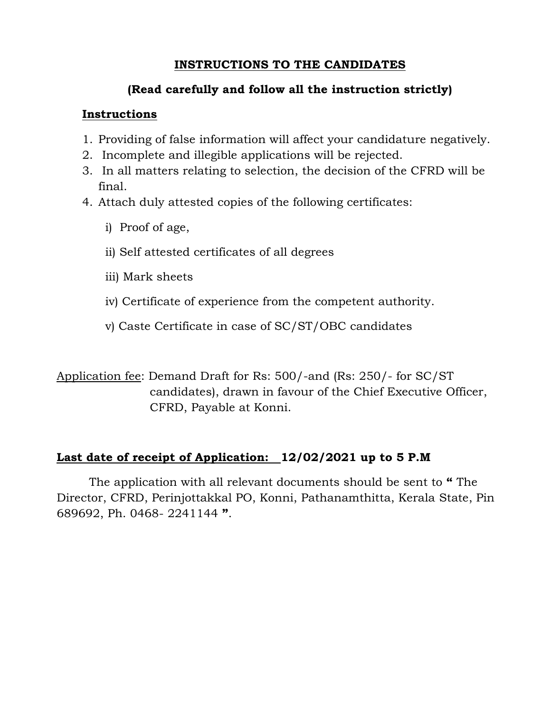### **INSTRUCTIONS TO THE CANDIDATES**

### **(Read carefully and follow all the instruction strictly)**

### **Instructions**

- 1. Providing of false information will affect your candidature negatively.
- 2. Incomplete and illegible applications will be rejected.
- 3. In all matters relating to selection, the decision of the CFRD will be final.
- 4. Attach duly attested copies of the following certificates:
	- i) Proof of age,
	- ii) Self attested certificates of all degrees
	- iii) Mark sheets
	- iv) Certificate of experience from the competent authority.
	- v) Caste Certificate in case of SC/ST/OBC candidates

Application fee: Demand Draft for Rs: 500/-and (Rs: 250/- for SC/ST candidates), drawn in favour of the Chief Executive Officer, CFRD, Payable at Konni.

## **Last date of receipt of Application: 12/02/2021 up to 5 P.M**

The application with all relevant documents should be sent to **"** The Director, CFRD, Perinjottakkal PO, Konni, Pathanamthitta, Kerala State, Pin 689692, Ph. 0468- 2241144 **"**.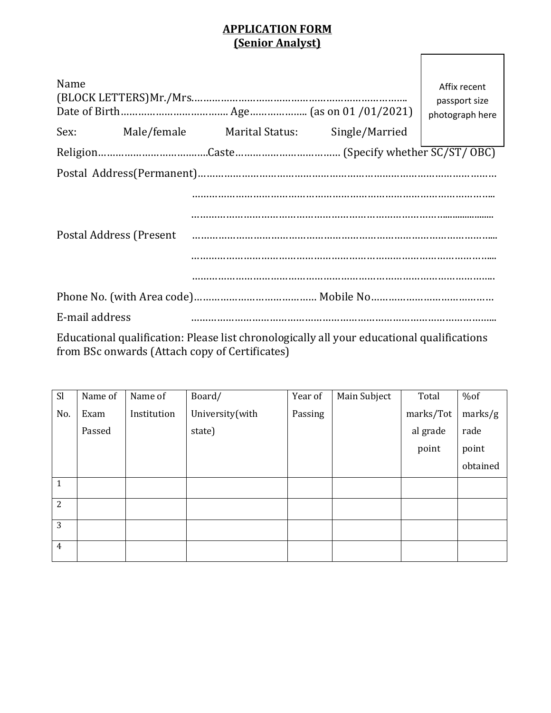#### **APPLICATION FORM (Senior Analyst)**

| Name                                                                                                                                                                                                                           |  | Sex: Male/female Marital Status: Single/Married |  | Affix recent<br>passport size<br>photograph here |  |  |
|--------------------------------------------------------------------------------------------------------------------------------------------------------------------------------------------------------------------------------|--|-------------------------------------------------|--|--------------------------------------------------|--|--|
|                                                                                                                                                                                                                                |  |                                                 |  |                                                  |  |  |
|                                                                                                                                                                                                                                |  |                                                 |  |                                                  |  |  |
| Postal Address (Present Figure 2014) and the contract of the contract of the contract of the contract of the contract of the contract of the contract of the contract of the contract of the contract of the contract of the c |  |                                                 |  |                                                  |  |  |
|                                                                                                                                                                                                                                |  |                                                 |  |                                                  |  |  |
| E-mail address                                                                                                                                                                                                                 |  |                                                 |  |                                                  |  |  |
| Educational qualification, places list chronologically all your educational qualifications                                                                                                                                     |  |                                                 |  |                                                  |  |  |

Educational qualification: Please list chronologically all your educational qualifications from BSc onwards (Attach copy of Certificates)

| Sl             | Name of | Name of     | Board/          | Year of | Main Subject | Total     | %of      |
|----------------|---------|-------------|-----------------|---------|--------------|-----------|----------|
| No.            | Exam    | Institution | University(with | Passing |              | marks/Tot | marks/g  |
|                | Passed  |             | state)          |         |              | al grade  | rade     |
|                |         |             |                 |         |              | point     | point    |
|                |         |             |                 |         |              |           | obtained |
| $\mathbf{1}$   |         |             |                 |         |              |           |          |
| $\overline{2}$ |         |             |                 |         |              |           |          |
| 3              |         |             |                 |         |              |           |          |
| $\overline{4}$ |         |             |                 |         |              |           |          |